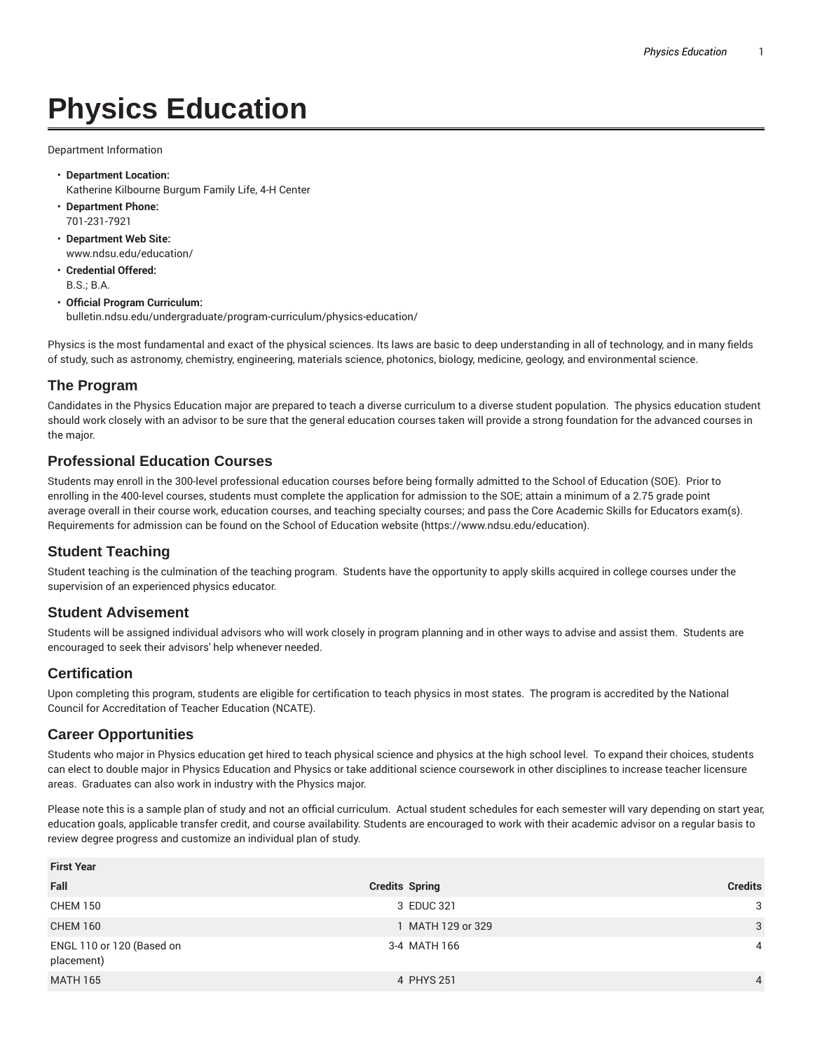# **Physics Education**

Department Information

- **Department Location:** Katherine Kilbourne Burgum Family Life, 4-H Center
- **Department Phone:** 701-231-7921
- **Department Web Site:** www.ndsu.edu/education/
- **Credential Offered:** B.S.; B.A.

#### • **Official Program Curriculum:** bulletin.ndsu.edu/undergraduate/program-curriculum/physics-education/

Physics is the most fundamental and exact of the physical sciences. Its laws are basic to deep understanding in all of technology, and in many fields of study, such as astronomy, chemistry, engineering, materials science, photonics, biology, medicine, geology, and environmental science.

# **The Program**

Candidates in the Physics Education major are prepared to teach a diverse curriculum to a diverse student population. The physics education student should work closely with an advisor to be sure that the general education courses taken will provide a strong foundation for the advanced courses in the major.

# **Professional Education Courses**

Students may enroll in the 300-level professional education courses before being formally admitted to the School of Education (SOE). Prior to enrolling in the 400-level courses, students must complete the application for admission to the SOE; attain a minimum of a 2.75 grade point average overall in their course work, education courses, and teaching specialty courses; and pass the Core Academic Skills for Educators exam(s). Requirements for admission can be found on the School of Education website (https://www.ndsu.edu/education).

# **Student Teaching**

Student teaching is the culmination of the teaching program. Students have the opportunity to apply skills acquired in college courses under the supervision of an experienced physics educator.

## **Student Advisement**

Students will be assigned individual advisors who will work closely in program planning and in other ways to advise and assist them. Students are encouraged to seek their advisors' help whenever needed.

## **Certification**

Upon completing this program, students are eligible for certification to teach physics in most states. The program is accredited by the National Council for Accreditation of Teacher Education (NCATE).

## **Career Opportunities**

Students who major in Physics education get hired to teach physical science and physics at the high school level. To expand their choices, students can elect to double major in Physics Education and Physics or take additional science coursework in other disciplines to increase teacher licensure areas. Graduates can also work in industry with the Physics major.

Please note this is a sample plan of study and not an official curriculum. Actual student schedules for each semester will vary depending on start year, education goals, applicable transfer credit, and course availability. Students are encouraged to work with their academic advisor on a regular basis to review degree progress and customize an individual plan of study.

| <b>First Year</b>                       |                       |                |  |  |
|-----------------------------------------|-----------------------|----------------|--|--|
| Fall                                    | <b>Credits Spring</b> | <b>Credits</b> |  |  |
| <b>CHEM 150</b>                         | 3 EDUC 321            | 3              |  |  |
| <b>CHEM 160</b>                         | 1 MATH 129 or 329     | 3              |  |  |
| ENGL 110 or 120 (Based on<br>placement) | 3-4 MATH 166          | $\overline{4}$ |  |  |
| <b>MATH 165</b>                         | 4 PHYS 251            | $\overline{4}$ |  |  |